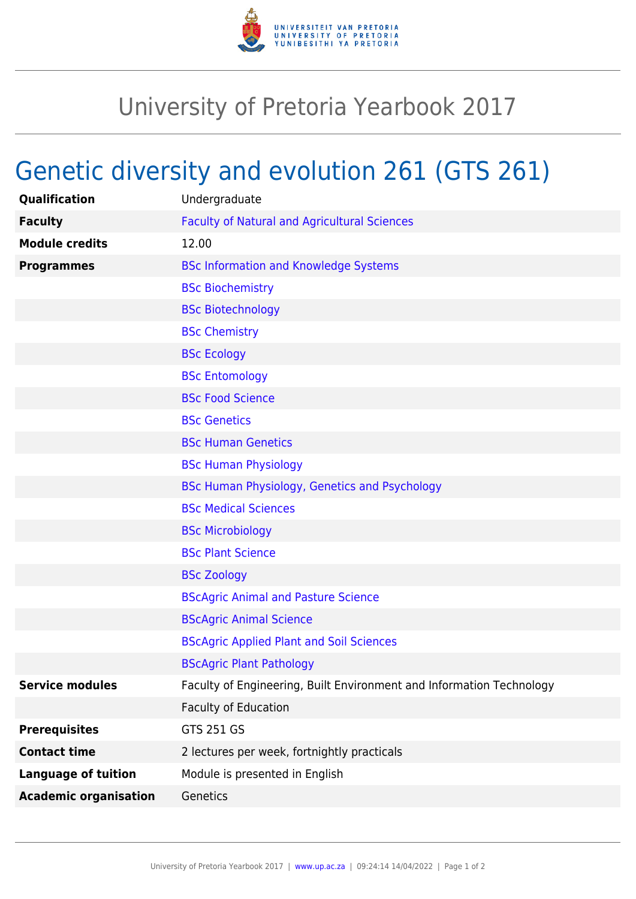

## University of Pretoria Yearbook 2017

## Genetic diversity and evolution 261 (GTS 261)

| Qualification                | Undergraduate                                                        |
|------------------------------|----------------------------------------------------------------------|
| <b>Faculty</b>               | <b>Faculty of Natural and Agricultural Sciences</b>                  |
| <b>Module credits</b>        | 12.00                                                                |
| <b>Programmes</b>            | <b>BSc Information and Knowledge Systems</b>                         |
|                              | <b>BSc Biochemistry</b>                                              |
|                              | <b>BSc Biotechnology</b>                                             |
|                              | <b>BSc Chemistry</b>                                                 |
|                              | <b>BSc Ecology</b>                                                   |
|                              | <b>BSc Entomology</b>                                                |
|                              | <b>BSc Food Science</b>                                              |
|                              | <b>BSc Genetics</b>                                                  |
|                              | <b>BSc Human Genetics</b>                                            |
|                              | <b>BSc Human Physiology</b>                                          |
|                              | BSc Human Physiology, Genetics and Psychology                        |
|                              | <b>BSc Medical Sciences</b>                                          |
|                              | <b>BSc Microbiology</b>                                              |
|                              | <b>BSc Plant Science</b>                                             |
|                              | <b>BSc Zoology</b>                                                   |
|                              | <b>BScAgric Animal and Pasture Science</b>                           |
|                              | <b>BScAgric Animal Science</b>                                       |
|                              | <b>BScAgric Applied Plant and Soil Sciences</b>                      |
|                              | <b>BScAgric Plant Pathology</b>                                      |
| <b>Service modules</b>       | Faculty of Engineering, Built Environment and Information Technology |
|                              | <b>Faculty of Education</b>                                          |
| <b>Prerequisites</b>         | <b>GTS 251 GS</b>                                                    |
| <b>Contact time</b>          | 2 lectures per week, fortnightly practicals                          |
| <b>Language of tuition</b>   | Module is presented in English                                       |
| <b>Academic organisation</b> | Genetics                                                             |
|                              |                                                                      |